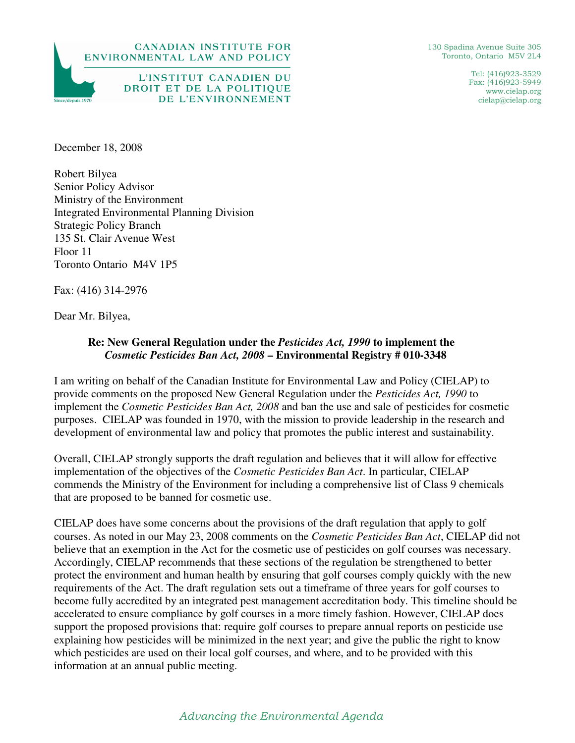



L'INSTITUT CANADIEN DU DROIT ET DE LA POLITIQUE DE L'ENVIRONNEMENT

130 Spadina Avenue Suite 305 Toronto, Ontario M5V 2L4

> Tel: (416)923-3529 Fax: (416)923-5949 www.cielap.org cielap@cielap.org

December 18, 2008

Robert Bilyea Senior Policy Advisor Ministry of the Environment Integrated Environmental Planning Division Strategic Policy Branch 135 St. Clair Avenue West Floor 11 Toronto Ontario M4V 1P5

Fax: (416) 314-2976

Dear Mr. Bilyea,

## **Re: New General Regulation under the** *Pesticides Act, 1990* **to implement the**  *Cosmetic Pesticides Ban Act, 2008* **– Environmental Registry # 010-3348**

I am writing on behalf of the Canadian Institute for Environmental Law and Policy (CIELAP) to provide comments on the proposed New General Regulation under the *Pesticides Act, 1990* to implement the *Cosmetic Pesticides Ban Act, 2008* and ban the use and sale of pesticides for cosmetic purposes. CIELAP was founded in 1970, with the mission to provide leadership in the research and development of environmental law and policy that promotes the public interest and sustainability.

Overall, CIELAP strongly supports the draft regulation and believes that it will allow for effective implementation of the objectives of the *Cosmetic Pesticides Ban Act*. In particular, CIELAP commends the Ministry of the Environment for including a comprehensive list of Class 9 chemicals that are proposed to be banned for cosmetic use.

CIELAP does have some concerns about the provisions of the draft regulation that apply to golf courses. As noted in our May 23, 2008 comments on the *Cosmetic Pesticides Ban Act*, CIELAP did not believe that an exemption in the Act for the cosmetic use of pesticides on golf courses was necessary. Accordingly, CIELAP recommends that these sections of the regulation be strengthened to better protect the environment and human health by ensuring that golf courses comply quickly with the new requirements of the Act. The draft regulation sets out a timeframe of three years for golf courses to become fully accredited by an integrated pest management accreditation body. This timeline should be accelerated to ensure compliance by golf courses in a more timely fashion. However, CIELAP does support the proposed provisions that: require golf courses to prepare annual reports on pesticide use explaining how pesticides will be minimized in the next year; and give the public the right to know which pesticides are used on their local golf courses, and where, and to be provided with this information at an annual public meeting.